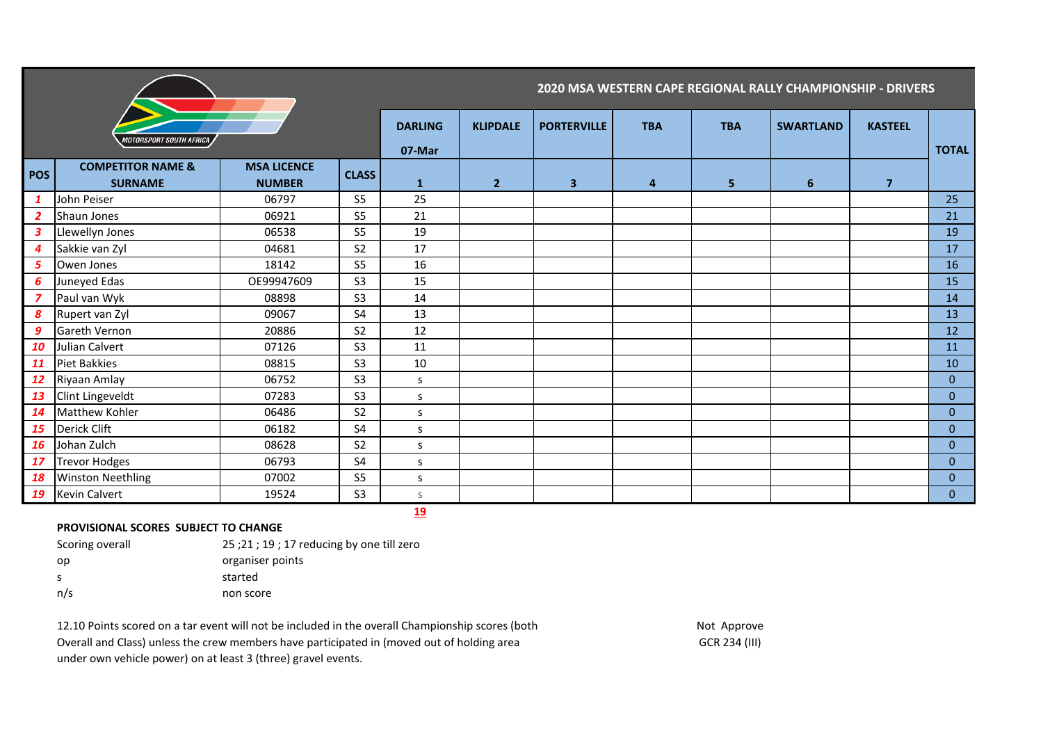|                  |                                                |                                     |                | 2020 MSA WESTERN CAPE REGIONAL RALLY CHAMPIONSHIP - DRIVERS |                 |                         |                |            |                  |                |                |
|------------------|------------------------------------------------|-------------------------------------|----------------|-------------------------------------------------------------|-----------------|-------------------------|----------------|------------|------------------|----------------|----------------|
|                  | <i><b>MOTORSPORT SOUTH AFRICA</b></i>          |                                     |                | <b>DARLING</b><br>07-Mar                                    | <b>KLIPDALE</b> | <b>PORTERVILLE</b>      | <b>TBA</b>     | <b>TBA</b> | <b>SWARTLAND</b> | <b>KASTEEL</b> | <b>TOTAL</b>   |
| <b>POS</b>       | <b>COMPETITOR NAME &amp;</b><br><b>SURNAME</b> | <b>MSA LICENCE</b><br><b>NUMBER</b> | <b>CLASS</b>   | $\mathbf{1}$                                                | $\overline{2}$  | $\overline{\mathbf{3}}$ | $\overline{4}$ | 5          | 6                | $\overline{7}$ |                |
| $\mathbf{1}$     | John Peiser                                    | 06797                               | S <sub>5</sub> | 25                                                          |                 |                         |                |            |                  |                | 25             |
| $\overline{2}$   | Shaun Jones                                    | 06921                               | S <sub>5</sub> | 21                                                          |                 |                         |                |            |                  |                | 21             |
| $\mathbf{3}$     | Llewellyn Jones                                | 06538                               | S <sub>5</sub> | 19                                                          |                 |                         |                |            |                  |                | 19             |
| $\overline{4}$   | Sakkie van Zyl                                 | 04681                               | S <sub>2</sub> | 17                                                          |                 |                         |                |            |                  |                | 17             |
| 5                | Owen Jones                                     | 18142                               | S <sub>5</sub> | 16                                                          |                 |                         |                |            |                  |                | 16             |
| 6                | Juneyed Edas                                   | OE99947609                          | S <sub>3</sub> | 15                                                          |                 |                         |                |            |                  |                | 15             |
| $\overline{z}$   | Paul van Wyk                                   | 08898                               | S <sub>3</sub> | 14                                                          |                 |                         |                |            |                  |                | 14             |
| $\boldsymbol{s}$ | Rupert van Zyl                                 | 09067                               | S <sub>4</sub> | 13                                                          |                 |                         |                |            |                  |                | 13             |
| 9                | Gareth Vernon                                  | 20886                               | S <sub>2</sub> | 12                                                          |                 |                         |                |            |                  |                | 12             |
| 10               | Julian Calvert                                 | 07126                               | S <sub>3</sub> | 11                                                          |                 |                         |                |            |                  |                | 11             |
| 11               | Piet Bakkies                                   | 08815                               | S <sub>3</sub> | 10                                                          |                 |                         |                |            |                  |                | 10             |
| 12               | Riyaan Amlay                                   | 06752                               | S <sub>3</sub> | S                                                           |                 |                         |                |            |                  |                | $\overline{0}$ |
| 13               | <b>Clint Lingeveldt</b>                        | 07283                               | S <sub>3</sub> | s                                                           |                 |                         |                |            |                  |                | $\overline{0}$ |
| 14               | <b>Matthew Kohler</b>                          | 06486                               | S <sub>2</sub> | S                                                           |                 |                         |                |            |                  |                | $\overline{0}$ |
| 15               | Derick Clift                                   | 06182                               | S4             | S                                                           |                 |                         |                |            |                  |                | $\overline{0}$ |
| <b>16</b>        | Johan Zulch                                    | 08628                               | S <sub>2</sub> | <sub>S</sub>                                                |                 |                         |                |            |                  |                | $\overline{0}$ |
| 17               | <b>Trevor Hodges</b>                           | 06793                               | <b>S4</b>      | S                                                           |                 |                         |                |            |                  |                | $\overline{0}$ |
| 18               | <b>Winston Neethling</b>                       | 07002                               | S <sub>5</sub> | s                                                           |                 |                         |                |            |                  |                | $\overline{0}$ |
| 19               | <b>Kevin Calvert</b>                           | 19524                               | S <sub>3</sub> | <sub>S</sub>                                                |                 |                         |                |            |                  |                | $\overline{0}$ |
|                  |                                                |                                     |                | 19                                                          |                 |                         |                |            |                  |                |                |

## **PROVISIONAL SCORES SUBJECT TO CHANGE**

Scoring overall 25 ;21 ; 19 ; 17 reducing by one till zero op organiser points s started n/s non score

12.10 Points scored on a tar event will not be included in the overall Championship scores (both Not Approve Overall and Class) unless the crew members have participated in (moved out of holding area GCR 234 (III) GCR 234 (III) under own vehicle power) on at least 3 (three) gravel events.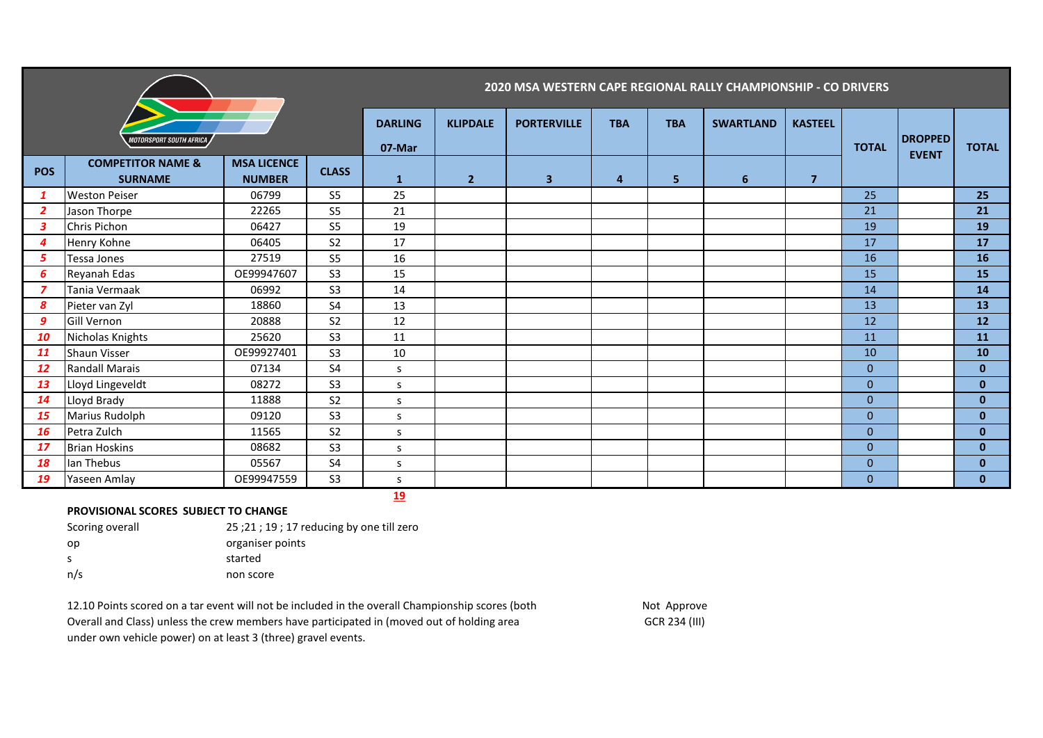|                  |                                                |                                     |                          | 2020 MSA WESTERN CAPE REGIONAL RALLY CHAMPIONSHIP - CO DRIVERS |                    |                         |            |                  |                |                |                                |              |              |
|------------------|------------------------------------------------|-------------------------------------|--------------------------|----------------------------------------------------------------|--------------------|-------------------------|------------|------------------|----------------|----------------|--------------------------------|--------------|--------------|
|                  | MOTORSPORT SOUTH AFRICA                        |                                     | <b>DARLING</b><br>07-Mar | <b>KLIPDALE</b>                                                | <b>PORTERVILLE</b> | <b>TBA</b>              | <b>TBA</b> | <b>SWARTLAND</b> | <b>KASTEEL</b> | <b>TOTAL</b>   | <b>DROPPED</b><br><b>EVENT</b> | <b>TOTAL</b> |              |
| <b>POS</b>       | <b>COMPETITOR NAME &amp;</b><br><b>SURNAME</b> | <b>MSA LICENCE</b><br><b>NUMBER</b> | <b>CLASS</b>             | $\mathbf{1}$                                                   | 2 <sup>1</sup>     | $\overline{\mathbf{3}}$ | 4          | 5                | 6              | $\overline{7}$ |                                |              |              |
| $\mathbf{1}$     | <b>Weston Peiser</b>                           | 06799                               | S <sub>5</sub>           | 25                                                             |                    |                         |            |                  |                |                | 25                             |              | 25           |
| $\overline{2}$   | Jason Thorpe                                   | 22265                               | S <sub>5</sub>           | 21                                                             |                    |                         |            |                  |                |                | 21                             |              | 21           |
| $\boldsymbol{3}$ | Chris Pichon                                   | 06427                               | S <sub>5</sub>           | 19                                                             |                    |                         |            |                  |                |                | 19                             |              | 19           |
| $\boldsymbol{4}$ | Henry Kohne                                    | 06405                               | S <sub>2</sub>           | 17                                                             |                    |                         |            |                  |                |                | 17                             |              | 17           |
| 5                | Tessa Jones                                    | 27519                               | <b>S5</b>                | 16                                                             |                    |                         |            |                  |                |                | 16                             |              | <b>16</b>    |
| 6                | Reyanah Edas                                   | OE99947607                          | S <sub>3</sub>           | 15                                                             |                    |                         |            |                  |                |                | 15                             |              | 15           |
| 7                | Tania Vermaak                                  | 06992                               | S <sub>3</sub>           | 14                                                             |                    |                         |            |                  |                |                | 14                             |              | 14           |
| 8                | Pieter van Zyl                                 | 18860                               | S <sub>4</sub>           | 13                                                             |                    |                         |            |                  |                |                | 13                             |              | 13           |
| 9                | Gill Vernon                                    | 20888                               | S <sub>2</sub>           | 12                                                             |                    |                         |            |                  |                |                | 12                             |              | 12           |
| 10               | Nicholas Knights                               | 25620                               | S <sub>3</sub>           | 11                                                             |                    |                         |            |                  |                |                | 11                             |              | 11           |
| 11               | <b>Shaun Visser</b>                            | OE99927401                          | S <sub>3</sub>           | 10                                                             |                    |                         |            |                  |                |                | 10                             |              | 10           |
| 12               | <b>Randall Marais</b>                          | 07134                               | S <sub>4</sub>           | S                                                              |                    |                         |            |                  |                |                | $\mathbf{0}$                   |              | $\mathbf{0}$ |
| 13               | Lloyd Lingeveldt                               | 08272                               | S <sub>3</sub>           | S                                                              |                    |                         |            |                  |                |                | $\mathbf{0}$                   |              | $\mathbf{0}$ |
| 14               | Lloyd Brady                                    | 11888                               | S <sub>2</sub>           | S                                                              |                    |                         |            |                  |                |                | $\mathbf{0}$                   |              | $\mathbf{0}$ |
| 15               | Marius Rudolph                                 | 09120                               | S <sub>3</sub>           | S                                                              |                    |                         |            |                  |                |                | $\mathbf{0}$                   |              | $\mathbf{0}$ |
| 16               | Petra Zulch                                    | 11565                               | S <sub>2</sub>           | <sub>S</sub>                                                   |                    |                         |            |                  |                |                | $\Omega$                       |              | $\mathbf{0}$ |
| 17               | <b>Brian Hoskins</b>                           | 08682                               | S <sub>3</sub>           | S                                                              |                    |                         |            |                  |                |                | $\mathbf{0}$                   |              | $\mathbf{0}$ |
| 18               | lan Thebus                                     | 05567                               | <b>S4</b>                | <sub>S</sub>                                                   |                    |                         |            |                  |                |                | $\mathbf{0}$                   |              | $\mathbf{0}$ |
| 19               | Yaseen Amlay                                   | OE99947559                          | S <sub>3</sub>           | S                                                              |                    |                         |            |                  |                |                | $\mathbf{0}$                   |              | $\mathbf{0}$ |

## **PROVISIONAL SCORES SUBJECT TO CHANGE**

| Scoring overall | $25:21:19:17$ reducing by one till zero |
|-----------------|-----------------------------------------|
| op              | organiser points                        |
| -S              | started                                 |
| n/s             | non score                               |

12.10 Points scored on a tar event will not be included in the overall Championship scores (both Not Approve Overall and Class) unless the crew members have participated in (moved out of holding area GCR 234 (III) GCR 234 (III) under own vehicle power) on at least 3 (three) gravel events.

**19**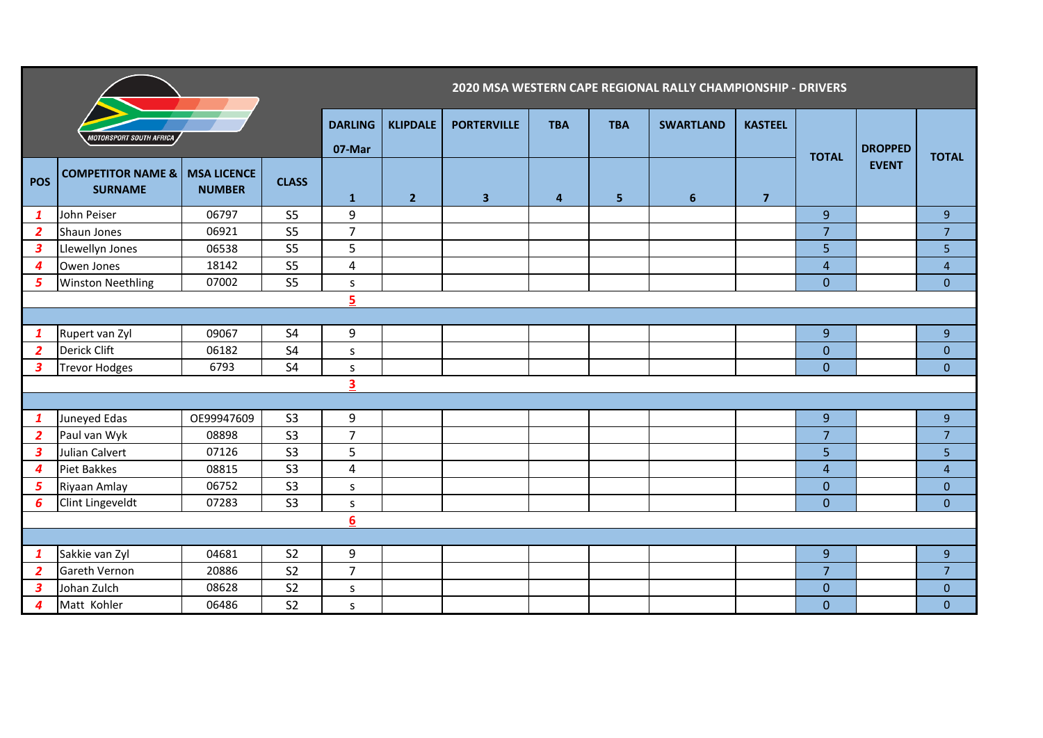|                  |                                                |                                     |                | 2020 MSA WESTERN CAPE REGIONAL RALLY CHAMPIONSHIP - DRIVERS |                 |                         |            |                |                  |                |                         |                                |                         |
|------------------|------------------------------------------------|-------------------------------------|----------------|-------------------------------------------------------------|-----------------|-------------------------|------------|----------------|------------------|----------------|-------------------------|--------------------------------|-------------------------|
|                  | MOTORSPORT SOUTH AFRICA                        |                                     |                | <b>DARLING</b><br>07-Mar                                    | <b>KLIPDALE</b> | <b>PORTERVILLE</b>      | <b>TBA</b> | <b>TBA</b>     | <b>SWARTLAND</b> | <b>KASTEEL</b> | <b>TOTAL</b>            | <b>DROPPED</b><br><b>EVENT</b> | <b>TOTAL</b>            |
| <b>POS</b>       | <b>COMPETITOR NAME &amp;</b><br><b>SURNAME</b> | <b>MSA LICENCE</b><br><b>NUMBER</b> | <b>CLASS</b>   | $\mathbf{1}$                                                | 2 <sup>2</sup>  | $\overline{\mathbf{3}}$ | 4          | 5 <sup>1</sup> | $6\phantom{1}6$  | $\overline{7}$ |                         |                                |                         |
| $\mathbf{1}$     | John Peiser                                    | 06797                               | S <sub>5</sub> | 9                                                           |                 |                         |            |                |                  |                | $\overline{9}$          |                                | 9                       |
| $\overline{2}$   | Shaun Jones                                    | 06921                               | S <sub>5</sub> | $\overline{7}$                                              |                 |                         |            |                |                  |                | $\overline{7}$          |                                | $\overline{7}$          |
| $\boldsymbol{3}$ | Llewellyn Jones                                | 06538                               | S <sub>5</sub> | 5                                                           |                 |                         |            |                |                  |                | 5                       |                                | 5                       |
| 4                | Owen Jones                                     | 18142                               | S <sub>5</sub> | $\overline{4}$                                              |                 |                         |            |                |                  |                | $\overline{\mathbf{r}}$ |                                | $\overline{\mathbf{4}}$ |
| 5                | <b>Winston Neethling</b>                       | 07002                               | S <sub>5</sub> | S.                                                          |                 |                         |            |                |                  |                | $\overline{0}$          |                                | $\mathbf 0$             |
| 5                |                                                |                                     |                |                                                             |                 |                         |            |                |                  |                |                         |                                |                         |
|                  |                                                |                                     |                |                                                             |                 |                         |            |                |                  |                |                         |                                |                         |
| $\mathbf{1}$     | Rupert van Zyl                                 | 09067                               | <b>S4</b>      | 9                                                           |                 |                         |            |                |                  |                | $\boldsymbol{9}$        |                                | $9\,$                   |
| $\overline{2}$   | <b>Derick Clift</b>                            | 06182                               | <b>S4</b>      | S.                                                          |                 |                         |            |                |                  |                | $\overline{0}$          |                                | $\mathbf{0}$            |
| $\boldsymbol{3}$ | <b>Trevor Hodges</b>                           | 6793                                | S <sub>4</sub> | S                                                           |                 |                         |            |                |                  |                | $\overline{0}$          |                                | $\mathbf{0}$            |
|                  |                                                |                                     |                | $\overline{\mathbf{3}}$                                     |                 |                         |            |                |                  |                |                         |                                |                         |
|                  |                                                |                                     |                |                                                             |                 |                         |            |                |                  |                |                         |                                |                         |
| $\mathbf{1}$     | Juneyed Edas                                   | OE99947609                          | S <sub>3</sub> | 9                                                           |                 |                         |            |                |                  |                | $\boldsymbol{9}$        |                                | 9                       |
| $\overline{2}$   | Paul van Wyk                                   | 08898                               | S <sub>3</sub> | $\overline{7}$                                              |                 |                         |            |                |                  |                | $\overline{7}$          |                                | $\overline{7}$          |
| $\boldsymbol{3}$ | Julian Calvert                                 | 07126                               | S <sub>3</sub> | 5                                                           |                 |                         |            |                |                  |                | 5                       |                                | $\overline{5}$          |
| 4                | Piet Bakkes                                    | 08815                               | S <sub>3</sub> | 4                                                           |                 |                         |            |                |                  |                | 4                       |                                | $\overline{4}$          |
| 5                | Riyaan Amlay                                   | 06752                               | S <sub>3</sub> | S.                                                          |                 |                         |            |                |                  |                | $\overline{0}$          |                                | $\mathbf{0}$            |
| 6                | Clint Lingeveldt                               | 07283                               | S <sub>3</sub> | S                                                           |                 |                         |            |                |                  |                | $\overline{0}$          |                                | $\mathbf{0}$            |
|                  |                                                |                                     |                | $6\phantom{1}6$                                             |                 |                         |            |                |                  |                |                         |                                |                         |
|                  |                                                |                                     |                |                                                             |                 |                         |            |                |                  |                |                         |                                |                         |
| $\mathbf{1}$     | Sakkie van Zyl                                 | 04681                               | S <sub>2</sub> | 9                                                           |                 |                         |            |                |                  |                | 9                       |                                | $9\,$                   |
| $\overline{2}$   | Gareth Vernon                                  | 20886                               | S <sub>2</sub> | $\overline{7}$                                              |                 |                         |            |                |                  |                | $\overline{7}$          |                                | $\overline{7}$          |
| $\boldsymbol{3}$ | Johan Zulch                                    | 08628                               | S <sub>2</sub> | S.                                                          |                 |                         |            |                |                  |                | 0                       |                                | $\mathbf{0}$            |
| $\boldsymbol{4}$ | Matt Kohler                                    | 06486                               | S <sub>2</sub> | s                                                           |                 |                         |            |                |                  |                | $\overline{0}$          |                                | $\mathbf{0}$            |